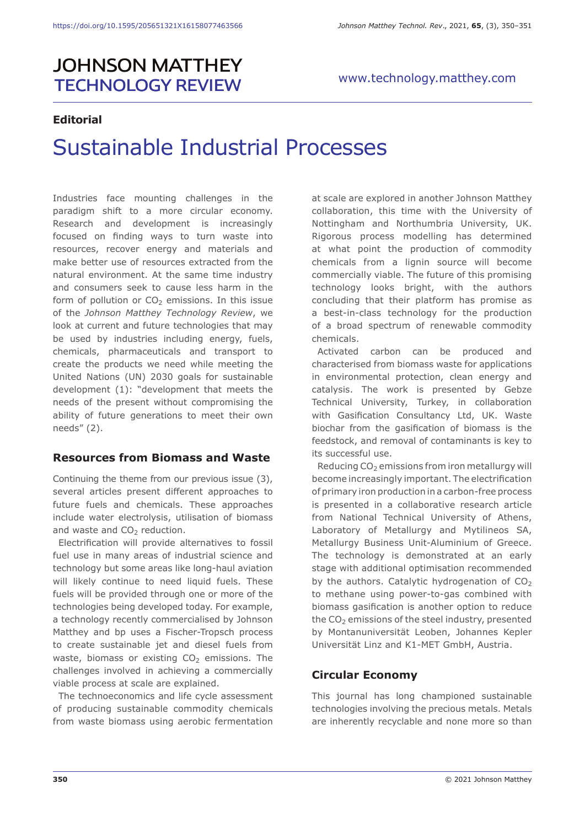# **JOHNSON MATTHEY TECHNOLOGY REVIEW**

## **Editorial**

# Sustainable Industrial Processes

Industries face mounting challenges in the paradigm shift to a more circular economy. Research and development is increasingly focused on finding ways to turn waste into resources, recover energy and materials and make better use of resources extracted from the natural environment. At the same time industry and consumers seek to cause less harm in the form of pollution or  $CO<sub>2</sub>$  emissions. In this issue of the *Johnson Matthey Technology Review*, we look at current and future technologies that may be used by industries including energy, fuels, chemicals, pharmaceuticals and transport to create the products we need while meeting the United Nations (UN) 2030 goals for sustainable development (1): "development that meets the needs of the present without compromising the ability of future generations to meet their own needs" (2).

#### **Resources from Biomass and Waste**

Continuing the theme from our previous issue (3), several articles present different approaches to future fuels and chemicals. These approaches include water electrolysis, utilisation of biomass and waste and  $CO<sub>2</sub>$  reduction.

Electrification will provide alternatives to fossil fuel use in many areas of industrial science and technology but some areas like long-haul aviation will likely continue to need liquid fuels. These fuels will be provided through one or more of the technologies being developed today. For example, a technology recently commercialised by Johnson Matthey and bp uses a Fischer-Tropsch process to create sustainable jet and diesel fuels from waste, biomass or existing  $CO<sub>2</sub>$  emissions. The challenges involved in achieving a commercially viable process at scale are explained.

The technoeconomics and life cycle assessment of producing sustainable commodity chemicals from waste biomass using aerobic fermentation

at scale are explored in another Johnson Matthey collaboration, this time with the University of Nottingham and Northumbria University, UK. Rigorous process modelling has determined at what point the production of commodity chemicals from a lignin source will become commercially viable. The future of this promising technology looks bright, with the authors concluding that their platform has promise as a best-in-class technology for the production of a broad spectrum of renewable commodity chemicals.

Activated carbon can be produced and characterised from biomass waste for applications in environmental protection, clean energy and catalysis. The work is presented by Gebze Technical University, Turkey, in collaboration with Gasification Consultancy Ltd, UK. Waste biochar from the gasification of biomass is the feedstock, and removal of contaminants is key to its successful use.

Reducing CO<sub>2</sub> emissions from iron metallurgy will become increasingly important. The electrification of primary iron production in a carbon-free process is presented in a collaborative research article from National Technical University of Athens, Laboratory of Metallurgy and Mytilineos SA, Metallurgy Business Unit-Aluminium of Greece. The technology is demonstrated at an early stage with additional optimisation recommended by the authors. Catalytic hydrogenation of  $CO<sub>2</sub>$ to methane using power-to-gas combined with biomass gasification is another option to reduce the  $CO<sub>2</sub>$  emissions of the steel industry, presented by Montanuniversität Leoben, Johannes Kepler Universität Linz and K1-MET GmbH, Austria.

# **Circular Economy**

This journal has long championed sustainable technologies involving the precious metals. Metals are inherently recyclable and none more so than